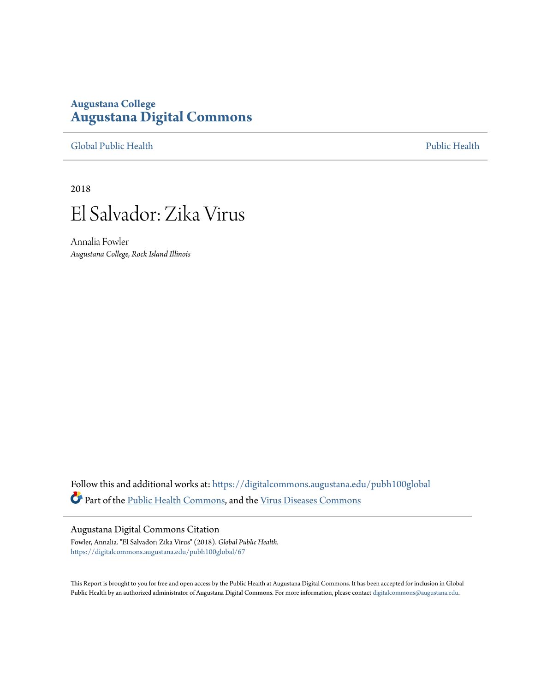# **Augustana College [Augustana Digital Commons](https://digitalcommons.augustana.edu?utm_source=digitalcommons.augustana.edu%2Fpubh100global%2F67&utm_medium=PDF&utm_campaign=PDFCoverPages)**

[Global Public Health](https://digitalcommons.augustana.edu/pubh100global?utm_source=digitalcommons.augustana.edu%2Fpubh100global%2F67&utm_medium=PDF&utm_campaign=PDFCoverPages) [Public Health](https://digitalcommons.augustana.edu/publichealth?utm_source=digitalcommons.augustana.edu%2Fpubh100global%2F67&utm_medium=PDF&utm_campaign=PDFCoverPages)

2018



Annalia Fowler *Augustana College, Rock Island Illinois*

Follow this and additional works at: [https://digitalcommons.augustana.edu/pubh100global](https://digitalcommons.augustana.edu/pubh100global?utm_source=digitalcommons.augustana.edu%2Fpubh100global%2F67&utm_medium=PDF&utm_campaign=PDFCoverPages) Part of the [Public Health Commons,](http://network.bepress.com/hgg/discipline/738?utm_source=digitalcommons.augustana.edu%2Fpubh100global%2F67&utm_medium=PDF&utm_campaign=PDFCoverPages) and the [Virus Diseases Commons](http://network.bepress.com/hgg/discipline/998?utm_source=digitalcommons.augustana.edu%2Fpubh100global%2F67&utm_medium=PDF&utm_campaign=PDFCoverPages)

#### Augustana Digital Commons Citation

Fowler, Annalia. "El Salvador: Zika Virus" (2018). *Global Public Health.* [https://digitalcommons.augustana.edu/pubh100global/67](https://digitalcommons.augustana.edu/pubh100global/67?utm_source=digitalcommons.augustana.edu%2Fpubh100global%2F67&utm_medium=PDF&utm_campaign=PDFCoverPages)

This Report is brought to you for free and open access by the Public Health at Augustana Digital Commons. It has been accepted for inclusion in Global Public Health by an authorized administrator of Augustana Digital Commons. For more information, please contact [digitalcommons@augustana.edu.](mailto:digitalcommons@augustana.edu)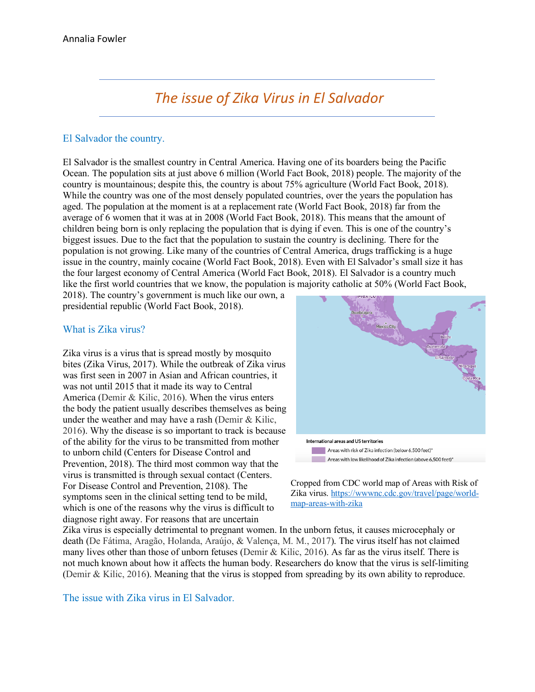# *The issue of Zika Virus in El Salvador*

## El Salvador the country.

El Salvador is the smallest country in Central America. Having one of its boarders being the Pacific Ocean. The population sits at just above 6 million (World Fact Book, 2018) people. The majority of the country is mountainous; despite this, the country is about 75% agriculture (World Fact Book, 2018). While the country was one of the most densely populated countries, over the years the population has aged. The population at the moment is at a replacement rate (World Fact Book, 2018) far from the average of 6 women that it was at in 2008 (World Fact Book, 2018). This means that the amount of children being born is only replacing the population that is dying if even. This is one of the country's biggest issues. Due to the fact that the population to sustain the country is declining. There for the population is not growing. Like many of the countries of Central America, drugs trafficking is a huge issue in the country, mainly cocaine (World Fact Book, 2018). Even with El Salvador's small size it has the four largest economy of Central America (World Fact Book, 2018). El Salvador is a country much like the first world countries that we know, the population is majority catholic at 50% (World Fact Book,

2018). The country's government is much like our own, a presidential republic (World Fact Book, 2018).

### What is Zika virus?

Zika virus is a virus that is spread mostly by mosquito bites (Zika Virus, 2017). While the outbreak of Zika virus was first seen in 2007 in Asian and African countries, it was not until 2015 that it made its way to Central America (Demir & Kilic, 2016). When the virus enters the body the patient usually describes themselves as being under the weather and may have a rash (Demir & Kilic, 2016). Why the disease is so important to track is because of the ability for the virus to be transmitted from mother to unborn child (Centers for Disease Control and Prevention, 2018). The third most common way that the virus is transmitted is through sexual contact (Centers. For Disease Control and Prevention, 2108). The symptoms seen in the clinical setting tend to be mild, which is one of the reasons why the virus is difficult to diagnose right away. For reasons that are uncertain



Cropped from CDC world map of Areas with Risk of Zika virus. https://wwwnc.cdc.gov/travel/page/worldmap-areas-with-zika

Zika virus is especially detrimental to pregnant women. In the unborn fetus, it causes microcephaly or death (De Fátima, Aragão, Holanda, Araújo, & Valença, M. M., 2017). The virus itself has not claimed many lives other than those of unborn fetuses (Demir & Kilic, 2016). As far as the virus itself. There is not much known about how it affects the human body. Researchers do know that the virus is self-limiting (Demir & Kilic, 2016). Meaning that the virus is stopped from spreading by its own ability to reproduce.

The issue with Zika virus in El Salvador.